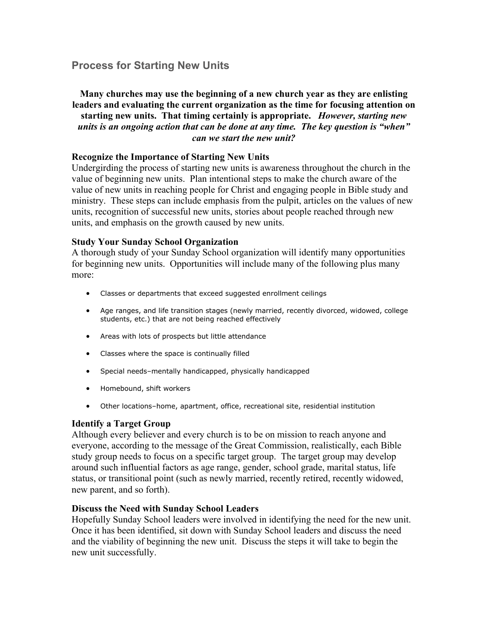# **Process for Starting New Units**

# **Many churches may use the beginning of a new church year as they are enlisting leaders and evaluating the current organization as the time for focusing attention on starting new units. That timing certainly is appropriate.** *However, starting new units is an ongoing action that can be done at any time. The key question is "when" can we start the new unit?*

#### **Recognize the Importance of Starting New Units**

Undergirding the process of starting new units is awareness throughout the church in the value of beginning new units. Plan intentional steps to make the church aware of the value of new units in reaching people for Christ and engaging people in Bible study and ministry. These steps can include emphasis from the pulpit, articles on the values of new units, recognition of successful new units, stories about people reached through new units, and emphasis on the growth caused by new units.

#### **Study Your Sunday School Organization**

A thorough study of your Sunday School organization will identify many opportunities for beginning new units. Opportunities will include many of the following plus many more:

- Classes or departments that exceed suggested enrollment ceilings
- Age ranges, and life transition stages (newly married, recently divorced, widowed, college students, etc.) that are not being reached effectively
- Areas with lots of prospects but little attendance
- Classes where the space is continually filled
- Special needs–mentally handicapped, physically handicapped
- Homebound, shift workers
- Other locations–home, apartment, office, recreational site, residential institution

### **Identify a Target Group**

Although every believer and every church is to be on mission to reach anyone and everyone, according to the message of the Great Commission, realistically, each Bible study group needs to focus on a specific target group. The target group may develop around such influential factors as age range, gender, school grade, marital status, life status, or transitional point (such as newly married, recently retired, recently widowed, new parent, and so forth).

#### **Discuss the Need with Sunday School Leaders**

Hopefully Sunday School leaders were involved in identifying the need for the new unit. Once it has been identified, sit down with Sunday School leaders and discuss the need and the viability of beginning the new unit. Discuss the steps it will take to begin the new unit successfully.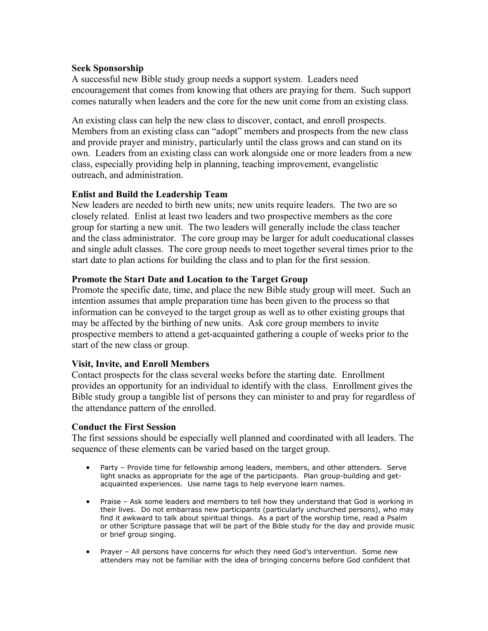# **Seek Sponsorship**

A successful new Bible study group needs a support system. Leaders need encouragement that comes from knowing that others are praying for them. Such support comes naturally when leaders and the core for the new unit come from an existing class.

An existing class can help the new class to discover, contact, and enroll prospects. Members from an existing class can "adopt" members and prospects from the new class and provide prayer and ministry, particularly until the class grows and can stand on its own. Leaders from an existing class can work alongside one or more leaders from a new class, especially providing help in planning, teaching improvement, evangelistic outreach, and administration.

# **Enlist and Build the Leadership Team**

New leaders are needed to birth new units; new units require leaders. The two are so closely related. Enlist at least two leaders and two prospective members as the core group for starting a new unit. The two leaders will generally include the class teacher and the class administrator. The core group may be larger for adult coeducational classes and single adult classes. The core group needs to meet together several times prior to the start date to plan actions for building the class and to plan for the first session.

### **Promote the Start Date and Location to the Target Group**

Promote the specific date, time, and place the new Bible study group will meet. Such an intention assumes that ample preparation time has been given to the process so that information can be conveyed to the target group as well as to other existing groups that may be affected by the birthing of new units. Ask core group members to invite prospective members to attend a get-acquainted gathering a couple of weeks prior to the start of the new class or group.

# **Visit, Invite, and Enroll Members**

Contact prospects for the class several weeks before the starting date. Enrollment provides an opportunity for an individual to identify with the class. Enrollment gives the Bible study group a tangible list of persons they can minister to and pray for regardless of the attendance pattern of the enrolled.

### **Conduct the First Session**

The first sessions should be especially well planned and coordinated with all leaders. The sequence of these elements can be varied based on the target group.

- Party Provide time for fellowship among leaders, members, and other attenders. Serve light snacks as appropriate for the age of the participants. Plan group-building and getacquainted experiences. Use name tags to help everyone learn names.
- Praise Ask some leaders and members to tell how they understand that God is working in their lives. Do not embarrass new participants (particularly unchurched persons), who may find it awkward to talk about spiritual things. As a part of the worship time, read a Psalm or other Scripture passage that will be part of the Bible study for the day and provide music or brief group singing.
- Prayer All persons have concerns for which they need God's intervention. Some new attenders may not be familiar with the idea of bringing concerns before God confident that